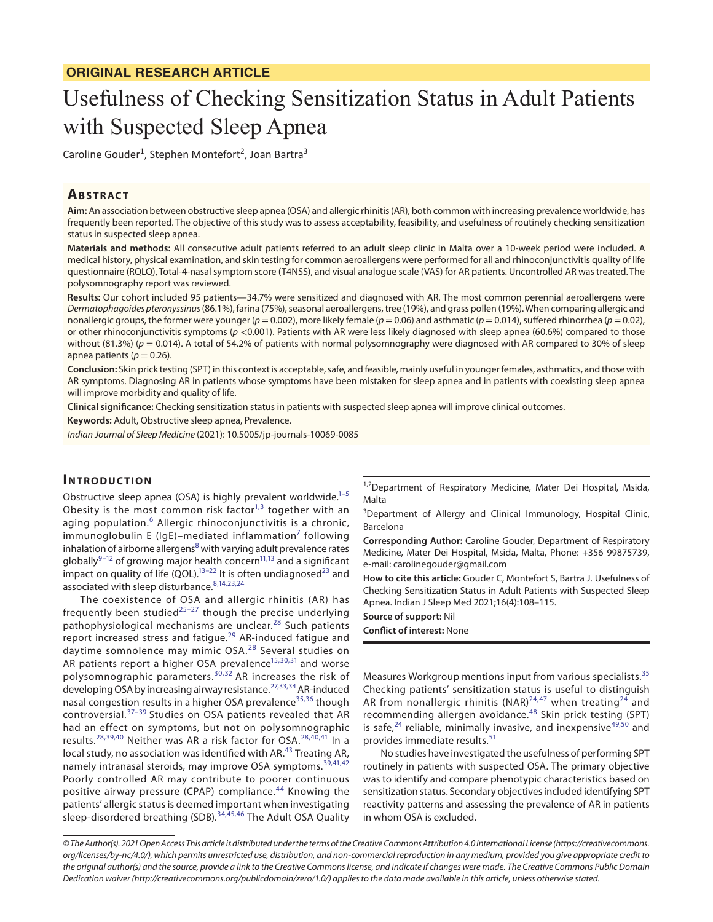# Usefulness of Checking Sensitization Status in Adult Patients with Suspected Sleep Apnea

Caroline Gouder<sup>1</sup>, Stephen Montefort<sup>2</sup>, Joan Bartra<sup>3</sup>

### **ABSTRACT**

**Aim:** An association between obstructive sleep apnea (OSA) and allergic rhinitis (AR), both common with increasing prevalence worldwide, has frequently been reported. The objective of this study was to assess acceptability, feasibility, and usefulness of routinely checking sensitization status in suspected sleep apnea.

**Materials and methods:** All consecutive adult patients referred to an adult sleep clinic in Malta over a 10-week period were included. A medical history, physical examination, and skin testing for common aeroallergens were performed for all and rhinoconjunctivitis quality of life questionnaire (RQLQ), Total-4-nasal symptom score (T4NSS), and visual analogue scale (VAS) for AR patients. Uncontrolled AR was treated. The polysomnography report was reviewed.

**Results:** Our cohort included 95 patients—34.7% were sensitized and diagnosed with AR. The most common perennial aeroallergens were *Dermatophagoides pteronyssinus* (86.1%), farina (75%), seasonal aeroallergens, tree (19%), and grass pollen (19%). When comparing allergic and nonallergic groups, the former were younger (*p* = 0.002), more likely female (*p* = 0.06) and asthmatic (*p* = 0.014), suffered rhinorrhea (*p* = 0.02), or other rhinoconjunctivitis symptoms ( $p < 0.001$ ). Patients with AR were less likely diagnosed with sleep apnea (60.6%) compared to those without (81.3%) ( $p = 0.014$ ). A total of 54.2% of patients with normal polysomnography were diagnosed with AR compared to 30% of sleep apnea patients ( $p = 0.26$ ).

**Conclusion:** Skin prick testing (SPT) in this context is acceptable, safe, and feasible, mainly useful in younger females, asthmatics, and those with AR symptoms. Diagnosing AR in patients whose symptoms have been mistaken for sleep apnea and in patients with coexisting sleep apnea will improve morbidity and quality of life.

**Clinical significance:** Checking sensitization status in patients with suspected sleep apnea will improve clinical outcomes.

**Keywords:** Adult, Obstructive sleep apnea, Prevalence.

*Indian Journal of Sleep Medicine* (2021): 10.5005/jp-journals-10069-0085

## **INTRODUCTION**

Obstructive sleep apnea (OSA) is highly prevalent worldwide. $1-5$  $1-5$ Obesity is the most common risk factor $1,3$  $1,3$  together with an aging population.<sup>[6](#page-6-1)</sup> Allergic rhinoconjunctivitis is a chronic, immunoglobulin E (IgE)–mediated inflammation $^7$  $^7$  following inhalation of airborne allergens $8$  with varying adult prevalence rates globally $9-12$  $9-12$  of growing major health concern<sup>11,[13](#page-6-7)</sup> and a significant impact on quality of life (QOL).<sup>13–[22](#page-6-8)</sup> It is often undiagnosed<sup>[23](#page-6-9)</sup> and associated with sleep disturbance.<sup>[8,](#page-6-3)[14](#page-6-10)[,23](#page-6-9)[,24](#page-6-11)</sup>

The coexistence of OSA and allergic rhinitis (AR) has frequently been studied $25-27$  $25-27$  though the precise underlying pathophysiological mechanisms are unclear.<sup>28</sup> Such patients report increased stress and fatigue.<sup>29</sup> AR-induced fatigue and daytime somnolence may mimic OSA.<sup>[28](#page-6-14)</sup> Several studies on AR patients report a higher OSA prevalence<sup>15,[30,](#page-6-17)[31](#page-6-18)</sup> and worse polysomnographic parameters.<sup>[30](#page-6-17),[32](#page-6-19)</sup> AR increases the risk of developing OSA by increasing airway resistance.[27](#page-6-13),[33](#page-6-20),[34](#page-6-21) AR-induced nasal congestion results in a higher OSA prevalence<sup>[35,](#page-6-22)[36](#page-6-23)</sup> though controversial.[37–](#page-6-24)[39](#page-6-25) Studies on OSA patients revealed that AR had an effect on symptoms, but not on polysomnographic results.[28,](#page-6-14)[39,](#page-6-25)[40](#page-6-26) Neither was AR a risk factor for OSA.[28](#page-6-14),[40](#page-6-26)[,41](#page-6-27) In a local study, no association was identified with AR.<sup>[43](#page-7-0)</sup> Treating AR, namely intranasal steroids, may improve OSA symptoms.<sup>[39](#page-6-25),[41](#page-6-27),[42](#page-6-28)</sup> Poorly controlled AR may contribute to poorer continuous positive airway pressure (CPAP) compliance.<sup>[44](#page-7-1)</sup> Knowing the patients' allergic status is deemed important when investigating sleep-disordered breathing (SDB).<sup>[34](#page-6-21),[45,](#page-7-2)[46](#page-7-3)</sup> The Adult OSA Quality

<sup>1,2</sup>Department of Respiratory Medicine, Mater Dei Hospital, Msida, Malta

<sup>3</sup>Department of Allergy and Clinical Immunology, Hospital Clinic, Barcelona

**Corresponding Author:** Caroline Gouder, Department of Respiratory Medicine, Mater Dei Hospital, Msida, Malta, Phone: +356 99875739, e-mail: carolinegouder@gmail.com

**How to cite this article:** Gouder C, Montefort S, Bartra J. Usefulness of Checking Sensitization Status in Adult Patients with Suspected Sleep Apnea. Indian J Sleep Med 2021;16(4):108–115.

**Source of support:** Nil **Conflict of interest:** None

Measures Workgroup mentions input from various specialists.<sup>[35](#page-6-22)</sup> Checking patients' sensitization status is useful to distinguish AR from nonallergic rhinitis (NAR)<sup>[24,](#page-6-11)[47](#page-7-4)</sup> when treating<sup>[24](#page-6-11)</sup> and recommending allergen avoidance.[48](#page-7-5) Skin prick testing (SPT) is safe, $24$  reliable, minimally invasive, and inexpensive $49,50$  $49,50$  and provides immediate results.<sup>[51](#page-7-8)</sup>

No studies have investigated the usefulness of performing SPT routinely in patients with suspected OSA. The primary objective was to identify and compare phenotypic characteristics based on sensitization status. Secondary objectives included identifying SPT reactivity patterns and assessing the prevalence of AR in patients in whom OSA is excluded.

*<sup>©</sup> The Author(s). 2021 Open Access This article is distributed under the terms of the Creative Commons Attribution 4.0 International License ([https://creativecommons.](https://creativecommons. org/licenses/by-nc/4.0/) [org/licenses/by-nc/4.0/](https://creativecommons. org/licenses/by-nc/4.0/)), which permits unrestricted use, distribution, and non-commercial reproduction in any medium, provided you give appropriate credit to the original author(s) and the source, provide a link to the Creative Commons license, and indicate if changes were made. The Creative Commons Public Domain Dedication waiver [\(http://creativecommons.org/publicdomain/zero/1.0/](http://creativecommons.org/publicdomain/zero/1.0/)) applies to the data made available in this article, unless otherwise stated.*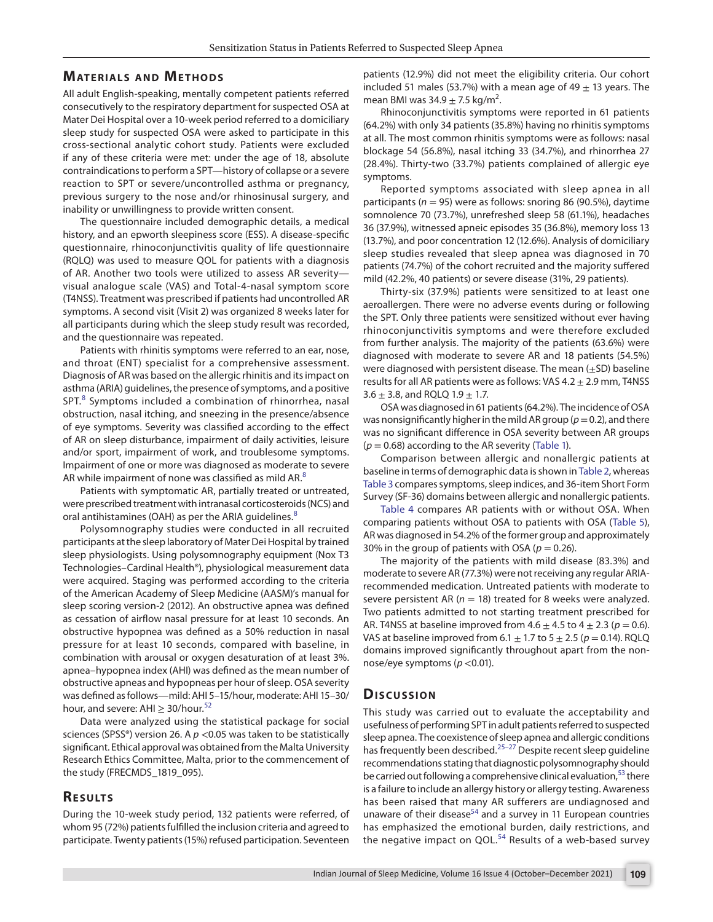#### **MATERIALS AND METHODS**

All adult English-speaking, mentally competent patients referred consecutively to the respiratory department for suspected OSA at Mater Dei Hospital over a 10-week period referred to a domiciliary sleep study for suspected OSA were asked to participate in this cross-sectional analytic cohort study. Patients were excluded if any of these criteria were met: under the age of 18, absolute contraindications to perform a SPT—history of collapse or a severe reaction to SPT or severe/uncontrolled asthma or pregnancy, previous surgery to the nose and/or rhinosinusal surgery, and inability or unwillingness to provide written consent.

The questionnaire included demographic details, a medical history, and an epworth sleepiness score (ESS). A disease-specific questionnaire, rhinoconjunctivitis quality of life questionnaire (RQLQ) was used to measure QOL for patients with a diagnosis of AR. Another two tools were utilized to assess AR severity visual analogue scale (VAS) and Total-4-nasal symptom score (T4NSS). Treatment was prescribed if patients had uncontrolled AR symptoms. A second visit (Visit 2) was organized 8 weeks later for all participants during which the sleep study result was recorded, and the questionnaire was repeated.

Patients with rhinitis symptoms were referred to an ear, nose, and throat (ENT) specialist for a comprehensive assessment. Diagnosis of AR was based on the allergic rhinitis and its impact on asthma (ARIA) guidelines, the presence of symptoms, and a positive SPT.<sup>[8](#page-6-3)</sup> Symptoms included a combination of rhinorrhea, nasal obstruction, nasal itching, and sneezing in the presence/absence of eye symptoms. Severity was classified according to the effect of AR on sleep disturbance, impairment of daily activities, leisure and/or sport, impairment of work, and troublesome symptoms. Impairment of one or more was diagnosed as moderate to severe AR while impairment of none was classified as mild AR.<sup>[8](#page-6-3)</sup>

Patients with symptomatic AR, partially treated or untreated, were prescribed treatment with intranasal corticosteroids (NCS) and oral antihistamines (OAH) as per the ARIA guidelines.<sup>[8](#page-6-3)</sup>

Polysomnography studies were conducted in all recruited participants at the sleep laboratory of Mater Dei Hospital by trained sleep physiologists. Using polysomnography equipment (Nox T3 Technologies–Cardinal Health®), physiological measurement data were acquired. Staging was performed according to the criteria of the American Academy of Sleep Medicine (AASM)'s manual for sleep scoring version-2 (2012). An obstructive apnea was defined as cessation of airflow nasal pressure for at least 10 seconds. An obstructive hypopnea was defined as a 50% reduction in nasal pressure for at least 10 seconds, compared with baseline, in combination with arousal or oxygen desaturation of at least 3%. apnea–hypopnea index (AHI) was defined as the mean number of obstructive apneas and hypopneas per hour of sleep. OSA severity was defined as follows—mild: AHI 5–15/hour, moderate: AHI 15–30/ hour, and severe: AHI  $\geq$  30/hour.<sup>[52](#page-7-9)</sup>

Data were analyzed using the statistical package for social sciences (SPSS®) version 26. A *p* <0.05 was taken to be statistically significant. Ethical approval was obtained from the Malta University Research Ethics Committee, Malta, prior to the commencement of the study (FRECMDS\_1819\_095).

## **RESULTS**

During the 10-week study period, 132 patients were referred, of whom 95 (72%) patients fulfilled the inclusion criteria and agreed to participate. Twenty patients (15%) refused participation. Seventeen

patients (12.9%) did not meet the eligibility criteria. Our cohort included 51 males (53.7%) with a mean age of 49  $\pm$  13 years. The mean BMI was 34.9  $\pm$  7.5 kg/m<sup>2</sup>.

Rhinoconjunctivitis symptoms were reported in 61 patients (64.2%) with only 34 patients (35.8%) having no rhinitis symptoms at all. The most common rhinitis symptoms were as follows: nasal blockage 54 (56.8%), nasal itching 33 (34.7%), and rhinorrhea 27 (28.4%). Thirty-two (33.7%) patients complained of allergic eye symptoms.

Reported symptoms associated with sleep apnea in all participants (*n* = 95) were as follows: snoring 86 (90.5%), daytime somnolence 70 (73.7%), unrefreshed sleep 58 (61.1%), headaches 36 (37.9%), witnessed apneic episodes 35 (36.8%), memory loss 13 (13.7%), and poor concentration 12 (12.6%). Analysis of domiciliary sleep studies revealed that sleep apnea was diagnosed in 70 patients (74.7%) of the cohort recruited and the majority suffered mild (42.2%, 40 patients) or severe disease (31%, 29 patients).

Thirty-six (37.9%) patients were sensitized to at least one aeroallergen. There were no adverse events during or following the SPT. Only three patients were sensitized without ever having rhinoconjunctivitis symptoms and were therefore excluded from further analysis. The majority of the patients (63.6%) were diagnosed with moderate to severe AR and 18 patients (54.5%) were diagnosed with persistent disease. The mean  $(+SD)$  baseline results for all AR patients were as follows: VAS 4.2  $\pm$  2.9 mm, T4NSS 3.6  $\pm$  3.8, and RQLQ 1.9  $\pm$  1.7.

OSA was diagnosed in 61 patients (64.2%). The incidence of OSA was nonsignificantly higher in the mild AR group ( $p = 0.2$ ), and there was no significant difference in OSA severity between AR groups  $(p = 0.68)$  according to the AR severity ([Table 1](#page-2-0)).

Comparison between allergic and nonallergic patients at baseline in terms of demographic data is shown in [Table 2](#page-2-1), whereas [Table 3](#page-3-0) compares symptoms, sleep indices, and 36-item Short Form Survey (SF-36) domains between allergic and nonallergic patients.

[Table 4](#page-3-1) compares AR patients with or without OSA. When comparing patients without OSA to patients with OSA [\(Table 5\)](#page-4-0), AR was diagnosed in 54.2% of the former group and approximately 30% in the group of patients with OSA ( $p = 0.26$ ).

The majority of the patients with mild disease (83.3%) and moderate to severe AR (77.3%) were not receiving any regular ARIArecommended medication. Untreated patients with moderate to severe persistent AR ( $n = 18$ ) treated for 8 weeks were analyzed. Two patients admitted to not starting treatment prescribed for AR. T4NSS at baseline improved from  $4.6 \pm 4.5$  to  $4 \pm 2.3$  ( $p = 0.6$ ). VAS at baseline improved from  $6.1 \pm 1.7$  to  $5 \pm 2.5$  ( $p = 0.14$ ). RQLQ domains improved significantly throughout apart from the nonnose/eye symptoms (*p* <0.01).

#### **Discussion**

This study was carried out to evaluate the acceptability and usefulness of performing SPT in adult patients referred to suspected sleep apnea. The coexistence of sleep apnea and allergic conditions has frequently been described.<sup>[25](#page-6-12)-27</sup> Despite recent sleep guideline recommendations stating that diagnostic polysomnography should be carried out following a comprehensive clinical evaluation,<sup>[53](#page-7-10)</sup> there is a failure to include an allergy history or allergy testing. Awareness has been raised that many AR sufferers are undiagnosed and unaware of their disease<sup>54</sup> and a survey in 11 European countries has emphasized the emotional burden, daily restrictions, and the negative impact on QOL. $54$  Results of a web-based survey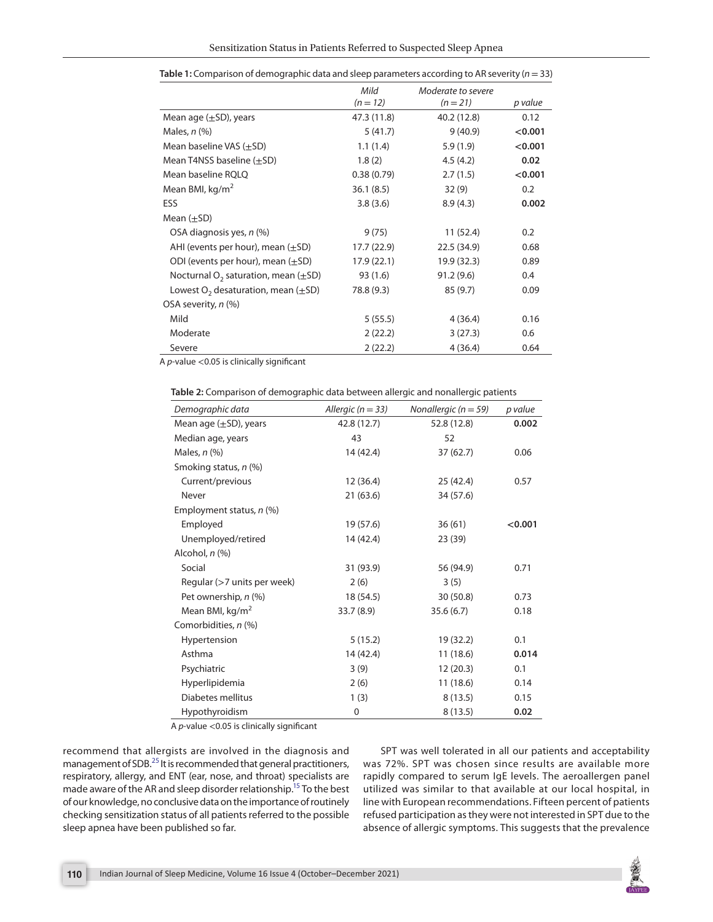|                                              | Mild        | Moderate to severe |         |
|----------------------------------------------|-------------|--------------------|---------|
|                                              | $(n = 12)$  | $(n = 21)$         | p value |
| Mean age $(\pm SD)$ , years                  | 47.3 (11.8) | 40.2 (12.8)        | 0.12    |
| Males, $n$ $(\%)$                            | 5(41.7)     | 9(40.9)            | < 0.001 |
| Mean baseline VAS $(\pm SD)$                 | 1.1(1.4)    | 5.9(1.9)           | < 0.001 |
| Mean T4NSS baseline $(\pm SD)$               | 1.8(2)      | 4.5(4.2)           | 0.02    |
| Mean baseline RQLQ                           | 0.38(0.79)  | 2.7(1.5)           | < 0.001 |
| Mean BMI, kg/m <sup>2</sup>                  | 36.1(8.5)   | 32(9)              | 0.2     |
| ESS                                          | 3.8(3.6)    | 8.9(4.3)           | 0.002   |
| Mean $(\pm SD)$                              |             |                    |         |
| OSA diagnosis yes, n (%)                     | 9(75)       | 11(52.4)           | 0.2     |
| AHI (events per hour), mean $(\pm SD)$       | 17.7 (22.9) | 22.5 (34.9)        | 0.68    |
| ODI (events per hour), mean $(\pm SD)$       | 17.9 (22.1) | 19.9 (32.3)        | 0.89    |
| Nocturnal $O_2$ saturation, mean ( $\pm$ SD) | 93 (1.6)    | 91.2(9.6)          | 0.4     |
| Lowest $O_2$ desaturation, mean $(\pm SD)$   | 78.8 (9.3)  | 85(9.7)            | 0.09    |
| OSA severity, n (%)                          |             |                    |         |
| Mild                                         | 5(55.5)     | 4(36.4)            | 0.16    |
| Moderate                                     | 2(22.2)     | 3(27.3)            | 0.6     |
| Severe                                       | 2(22.2)     | 4(36.4)            | 0.64    |

<span id="page-2-0"></span>

|  |  | Table 1: Comparison of demographic data and sleep parameters according to AR severity ( $n = 33$ ) |  |  |
|--|--|----------------------------------------------------------------------------------------------------|--|--|
|--|--|----------------------------------------------------------------------------------------------------|--|--|

A *p*-value <0.05 is clinically significant

<span id="page-2-1"></span>

| Table 2: Comparison of demographic data between allergic and nonallergic patients |  |  |  |
|-----------------------------------------------------------------------------------|--|--|--|
|-----------------------------------------------------------------------------------|--|--|--|

| Demographic data              | Allergic ( $n = 33$ ) | Nonallergic ( $n = 59$ ) | p value |
|-------------------------------|-----------------------|--------------------------|---------|
| Mean age $(\pm SD)$ , years   | 42.8 (12.7)           | 52.8 (12.8)              | 0.002   |
| Median age, years             | 43                    | 52                       |         |
| Males, $n$ $%$                | 14 (42.4)             | 37(62.7)                 | 0.06    |
| Smoking status, $n$ (%)       |                       |                          |         |
| Current/previous              | 12(36.4)              | 25(42.4)                 | 0.57    |
| Never                         | 21(63.6)              | 34 (57.6)                |         |
| Employment status, n (%)      |                       |                          |         |
| Employed                      | 19 (57.6)             | 36(61)                   | < 0.001 |
| Unemployed/retired            | 14 (42.4)             | 23 (39)                  |         |
| Alcohol, $n$ $%$              |                       |                          |         |
| Social                        | 31 (93.9)             | 56 (94.9)                | 0.71    |
| Regular $(>7$ units per week) | 2(6)                  | 3(5)                     |         |
| Pet ownership, n (%)          | 18 (54.5)             | 30(50.8)                 | 0.73    |
| Mean BMI, kg/m <sup>2</sup>   | 33.7 (8.9)            | 35.6(6.7)                | 0.18    |
| Comorbidities, n (%)          |                       |                          |         |
| Hypertension                  | 5(15.2)               | 19 (32.2)                | 0.1     |
| Asthma                        | 14 (42.4)             | 11(18.6)                 | 0.014   |
| Psychiatric                   | 3(9)                  | 12(20.3)                 | 0.1     |
| Hyperlipidemia                | 2(6)                  | 11(18.6)                 | 0.14    |
| Diabetes mellitus             | 1(3)                  | 8(13.5)                  | 0.15    |
| Hypothyroidism                | 0                     | 8(13.5)                  | 0.02    |

A *p*-value <0.05 is clinically significant

recommend that allergists are involved in the diagnosis and management of SDB.[25](#page-6-12) It is recommended that general practitioners, respiratory, allergy, and ENT (ear, nose, and throat) specialists are made aware of the AR and sleep disorder relationship[.15](#page-6-16) To the best of our knowledge, no conclusive data on the importance of routinely checking sensitization status of all patients referred to the possible sleep apnea have been published so far.

SPT was well tolerated in all our patients and acceptability was 72%. SPT was chosen since results are available more rapidly compared to serum IgE levels. The aeroallergen panel utilized was similar to that available at our local hospital, in line with European recommendations. Fifteen percent of patients refused participation as they were not interested in SPT due to the absence of allergic symptoms. This suggests that the prevalence

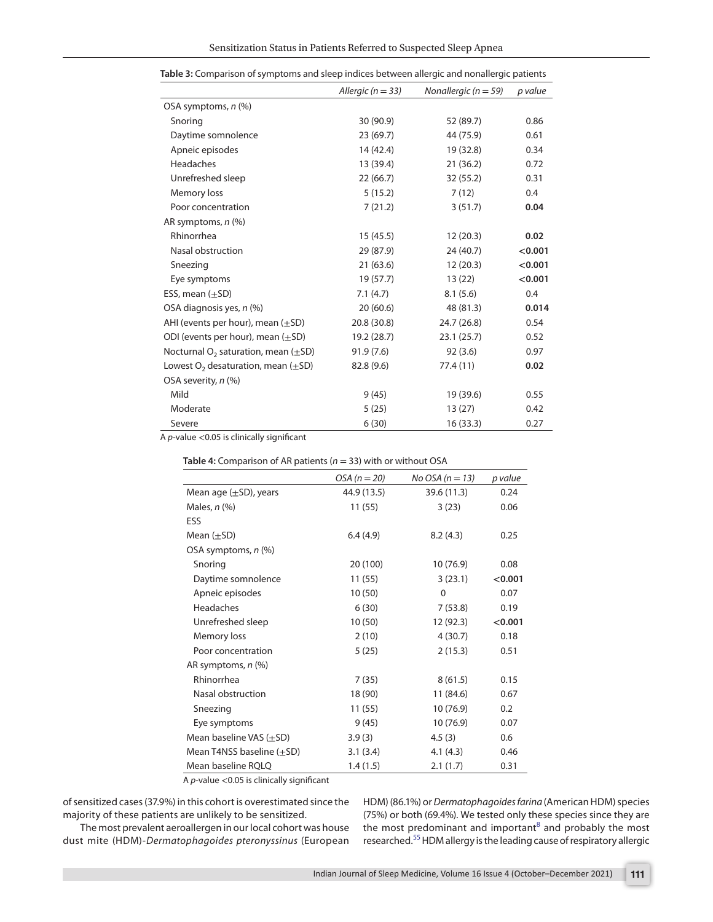|                                              | Allergic ( $n = 33$ ) | Nonallergic ( $n = 59$ ) | p value |
|----------------------------------------------|-----------------------|--------------------------|---------|
| OSA symptoms, n (%)                          |                       |                          |         |
| Snoring                                      | 30 (90.9)             | 52 (89.7)                | 0.86    |
| Daytime somnolence                           | 23(69.7)              | 44 (75.9)                | 0.61    |
| Apneic episodes                              | 14 (42.4)             | 19 (32.8)                | 0.34    |
| Headaches                                    | 13 (39.4)             | 21(36.2)                 | 0.72    |
| Unrefreshed sleep                            | 22(66.7)              | 32(55.2)                 | 0.31    |
| Memory loss                                  | 5(15.2)               | 7(12)                    | 0.4     |
| Poor concentration                           | 7(21.2)               | 3(51.7)                  | 0.04    |
| AR symptoms, n (%)                           |                       |                          |         |
| Rhinorrhea                                   | 15(45.5)              | 12(20.3)                 | 0.02    |
| Nasal obstruction                            | 29 (87.9)             | 24 (40.7)                | < 0.001 |
| Sneezing                                     | 21(63.6)              | 12(20.3)                 | < 0.001 |
| Eye symptoms                                 | 19(57.7)              | 13(22)                   | < 0.001 |
| ESS, mean $(\pm SD)$                         | 7.1(4.7)              | 8.1(5.6)                 | 0.4     |
| OSA diagnosis yes, n (%)                     | 20(60.6)              | 48 (81.3)                | 0.014   |
| AHI (events per hour), mean $(\pm SD)$       | 20.8 (30.8)           | 24.7 (26.8)              | 0.54    |
| ODI (events per hour), mean $(\pm SD)$       | 19.2 (28.7)           | 23.1(25.7)               | 0.52    |
| Nocturnal $O_2$ saturation, mean ( $\pm$ SD) | 91.9(7.6)             | 92(3.6)                  | 0.97    |
| Lowest $O_2$ desaturation, mean ( $\pm$ SD)  | 82.8 (9.6)            | 77.4 (11)                | 0.02    |
| OSA severity, n (%)                          |                       |                          |         |
| Mild                                         | 9(45)                 | 19 (39.6)                | 0.55    |
| Moderate                                     | 5(25)                 | 13(27)                   | 0.42    |
| Severe                                       | 6(30)                 | 16(33.3)                 | 0.27    |

<span id="page-3-0"></span>

|  | Table 3: Comparison of symptoms and sleep indices between allergic and nonallergic patients |  |
|--|---------------------------------------------------------------------------------------------|--|
|  |                                                                                             |  |

A *p*-value <0.05 is clinically significant

<span id="page-3-1"></span>

|  |  | Table 4: Comparison of AR patients ( $n = 33$ ) with or without OSA |
|--|--|---------------------------------------------------------------------|
|--|--|---------------------------------------------------------------------|

|                                | $OSA (n=20)$ | No OSA ( $n = 13$ ) | p value |  |
|--------------------------------|--------------|---------------------|---------|--|
| Mean age $(\pm SD)$ , years    | 44.9 (13.5)  | 39.6 (11.3)         | 0.24    |  |
| Males, $n$ $%$                 | 11(55)       | 3(23)               | 0.06    |  |
| ESS                            |              |                     |         |  |
| Mean $(\pm SD)$                | 6.4(4.9)     | 8.2(4.3)            | 0.25    |  |
| OSA symptoms, n (%)            |              |                     |         |  |
| Snoring                        | 20 (100)     | 10(76.9)            | 0.08    |  |
| Daytime somnolence             | 11(55)       | 3(23.1)             | < 0.001 |  |
| Apneic episodes                | 10(50)       | $\mathbf{0}$        | 0.07    |  |
| Headaches                      | 6(30)        | 7(53.8)             | 0.19    |  |
| Unrefreshed sleep              | 10(50)       | 12 (92.3)           | < 0.001 |  |
| Memory loss                    | 2(10)        | 4(30.7)             | 0.18    |  |
| Poor concentration             | 5(25)        | 2(15.3)             | 0.51    |  |
| AR symptoms, n (%)             |              |                     |         |  |
| Rhinorrhea                     | 7(35)        | 8(61.5)             | 0.15    |  |
| Nasal obstruction              | 18 (90)      | 11 (84.6)           | 0.67    |  |
| Sneezing                       | 11(55)       | 10(76.9)            | 0.2     |  |
| Eye symptoms                   | 9(45)        | 10(76.9)            | 0.07    |  |
| Mean baseline VAS $(\pm SD)$   | 3.9(3)       | 4.5(3)              | 0.6     |  |
| Mean T4NSS baseline $(\pm SD)$ | 3.1(3.4)     | 4.1(4.3)            | 0.46    |  |
| Mean baseline RQLQ             | 1.4(1.5)     | 2.1(1.7)            | 0.31    |  |

A *p*-value <0.05 is clinically significant

of sensitized cases (37.9%) in this cohort is overestimated since the majority of these patients are unlikely to be sensitized.

The most prevalent aeroallergen in our local cohort was house dust mite (HDM)-*Dermatophagoides pteronyssinus* (European HDM) (86.1%) or *Dermatophagoides farina* (American HDM) species (75%) or both (69.4%). We tested only these species since they are the most predominant and important $^8$  $^8$  and probably the most researched.[55](#page-7-12) HDM allergy is the leading cause of respiratory allergic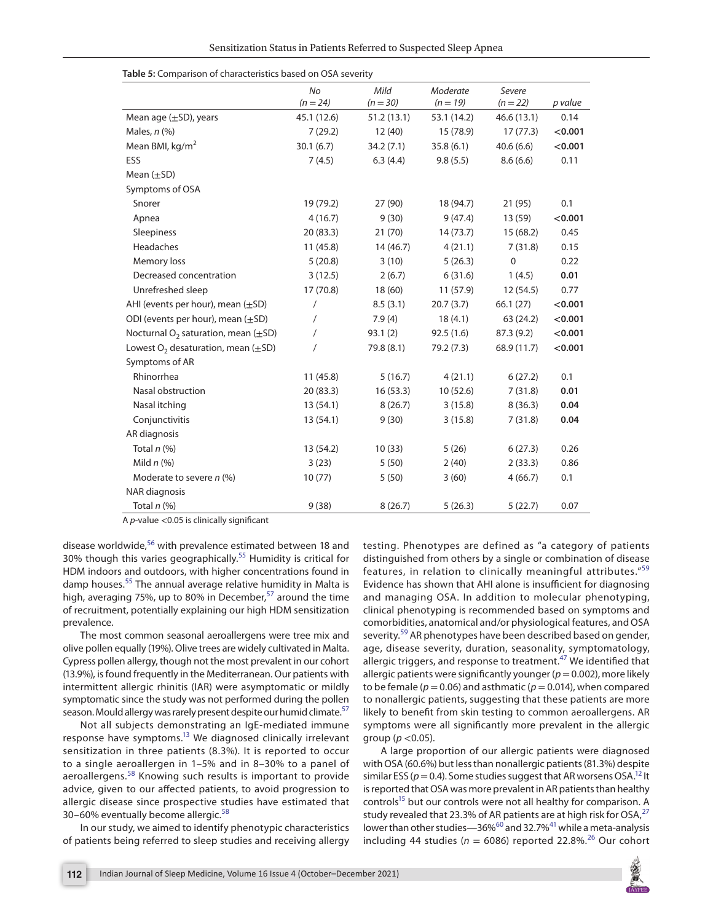|                                              | No          | Mild       | Moderate    | Severe       |         |
|----------------------------------------------|-------------|------------|-------------|--------------|---------|
|                                              | $(n = 24)$  | $(n = 30)$ | $(n = 19)$  | $(n = 22)$   | p value |
| Mean age $(\pm SD)$ , years                  | 45.1 (12.6) | 51.2(13.1) | 53.1 (14.2) | 46.6(13.1)   | 0.14    |
| Males, $n$ (%)                               | 7(29.2)     | 12(40)     | 15 (78.9)   | 17(77.3)     | < 0.001 |
| Mean BMI, $kg/m2$                            | 30.1(6.7)   | 34.2(7.1)  | 35.8(6.1)   | 40.6(6.6)    | < 0.001 |
| ESS                                          | 7(4.5)      | 6.3(4.4)   | 9.8(5.5)    | 8.6(6.6)     | 0.11    |
| Mean $(\pm SD)$                              |             |            |             |              |         |
| Symptoms of OSA                              |             |            |             |              |         |
| Snorer                                       | 19 (79.2)   | 27 (90)    | 18 (94.7)   | 21 (95)      | 0.1     |
| Apnea                                        | 4(16.7)     | 9(30)      | 9(47.4)     | 13 (59)      | < 0.001 |
| Sleepiness                                   | 20(83.3)    | 21(70)     | 14(73.7)    | 15(68.2)     | 0.45    |
| Headaches                                    | 11(45.8)    | 14(46.7)   | 4(21.1)     | 7(31.8)      | 0.15    |
| Memory loss                                  | 5(20.8)     | 3(10)      | 5(26.3)     | $\mathbf{0}$ | 0.22    |
| Decreased concentration                      | 3(12.5)     | 2(6.7)     | 6(31.6)     | 1(4.5)       | 0.01    |
| Unrefreshed sleep                            | 17(70.8)    | 18(60)     | 11(57.9)    | 12(54.5)     | 0.77    |
| AHI (events per hour), mean $(\pm SD)$       | $\sqrt{2}$  | 8.5(3.1)   | 20.7(3.7)   | 66.1(27)     | < 0.001 |
| ODI (events per hour), mean $(\pm SD)$       | $\prime$    | 7.9(4)     | 18(4.1)     | 63 (24.2)    | < 0.001 |
| Nocturnal $O_2$ saturation, mean ( $\pm$ SD) | $\prime$    | 93.1(2)    | 92.5(1.6)   | 87.3 (9.2)   | < 0.001 |
| Lowest $O_2$ desaturation, mean ( $\pm$ SD)  |             | 79.8 (8.1) | 79.2 (7.3)  | 68.9 (11.7)  | < 0.001 |
| Symptoms of AR                               |             |            |             |              |         |
| Rhinorrhea                                   | 11(45.8)    | 5(16.7)    | 4(21.1)     | 6(27.2)      | 0.1     |
| Nasal obstruction                            | 20(83.3)    | 16(53.3)   | 10(52.6)    | 7(31.8)      | 0.01    |
| Nasal itching                                | 13(54.1)    | 8(26.7)    | 3(15.8)     | 8(36.3)      | 0.04    |
| Conjunctivitis                               | 13(54.1)    | 9(30)      | 3(15.8)     | 7(31.8)      | 0.04    |
| AR diagnosis                                 |             |            |             |              |         |
| Total $n$ (%)                                | 13 (54.2)   | 10(33)     | 5(26)       | 6(27.3)      | 0.26    |
| Mild $n$ (%)                                 | 3(23)       | 5(50)      | 2(40)       | 2(33.3)      | 0.86    |
| Moderate to severe $n$ (%)                   | 10(77)      | 5(50)      | 3(60)       | 4(66.7)      | 0.1     |
| NAR diagnosis                                |             |            |             |              |         |
| Total $n$ (%)                                | 9(38)       | 8(26.7)    | 5(26.3)     | 5(22.7)      | 0.07    |

<span id="page-4-0"></span>

|  |  | Table 5: Comparison of characteristics based on OSA severity |
|--|--|--------------------------------------------------------------|
|--|--|--------------------------------------------------------------|

A *p*-value <0.05 is clinically significant

disease worldwide,<sup>56</sup> with prevalence estimated between 18 and 30% though this varies geographically.[55](#page-7-12) Humidity is critical for HDM indoors and outdoors, with higher concentrations found in damp houses.<sup>55</sup> The annual average relative humidity in Malta is high, averaging 75%, up to 80% in December, $57$  around the time of recruitment, potentially explaining our high HDM sensitization prevalence.

The most common seasonal aeroallergens were tree mix and olive pollen equally (19%). Olive trees are widely cultivated in Malta. Cypress pollen allergy, though not the most prevalent in our cohort (13.9%), is found frequently in the Mediterranean. Our patients with intermittent allergic rhinitis (IAR) were asymptomatic or mildly symptomatic since the study was not performed during the pollen season. Mould allergy was rarely present despite our humid climate.<sup>[57](#page-7-14)</sup>

Not all subjects demonstrating an IgE-mediated immune response have symptoms.<sup>13</sup> We diagnosed clinically irrelevant sensitization in three patients (8.3%). It is reported to occur to a single aeroallergen in 1–5% and in 8–30% to a panel of aeroallergens.<sup>[58](#page-7-15)</sup> Knowing such results is important to provide advice, given to our affected patients, to avoid progression to allergic disease since prospective studies have estimated that 30–60% eventually become allergic.<sup>[58](#page-7-15)</sup>

In our study, we aimed to identify phenotypic characteristics of patients being referred to sleep studies and receiving allergy

testing. Phenotypes are defined as "a category of patients distinguished from others by a single or combination of disease features, in relation to clinically meaningful attributes."<sup>[59](#page-7-16)</sup> Evidence has shown that AHI alone is insufficient for diagnosing and managing OSA. In addition to molecular phenotyping, clinical phenotyping is recommended based on symptoms and comorbidities, anatomical and/or physiological features, and OSA severity.<sup>[59](#page-7-16)</sup> AR phenotypes have been described based on gender, age, disease severity, duration, seasonality, symptomatology, allergic triggers, and response to treatment.<sup>[47](#page-7-4)</sup> We identified that allergic patients were significantly younger (*p*= 0.002), more likely to be female ( $p = 0.06$ ) and asthmatic ( $p = 0.014$ ), when compared to nonallergic patients, suggesting that these patients are more likely to benefit from skin testing to common aeroallergens. AR symptoms were all significantly more prevalent in the allergic group (*p* <0.05).

A large proportion of our allergic patients were diagnosed with OSA (60.6%) but less than nonallergic patients (81.3%) despite similar ESS ( $p = 0.4$ ). Some studies suggest that AR worsens OSA.<sup>12</sup> It is reported that OSA was more prevalent in AR patients than healthy controls<sup>15</sup> but our controls were not all healthy for comparison. A study revealed that 23.3% of AR patients are at high risk for OSA, $^{27}$  $^{27}$  $^{27}$ lower than other studies—36% $^{60}$  and 32.7% $^{41}$  $^{41}$  $^{41}$  while a meta-analysis including 44 studies ( $n = 6086$ ) reported 22.8%.<sup>[26](#page-6-29)</sup> Our cohort

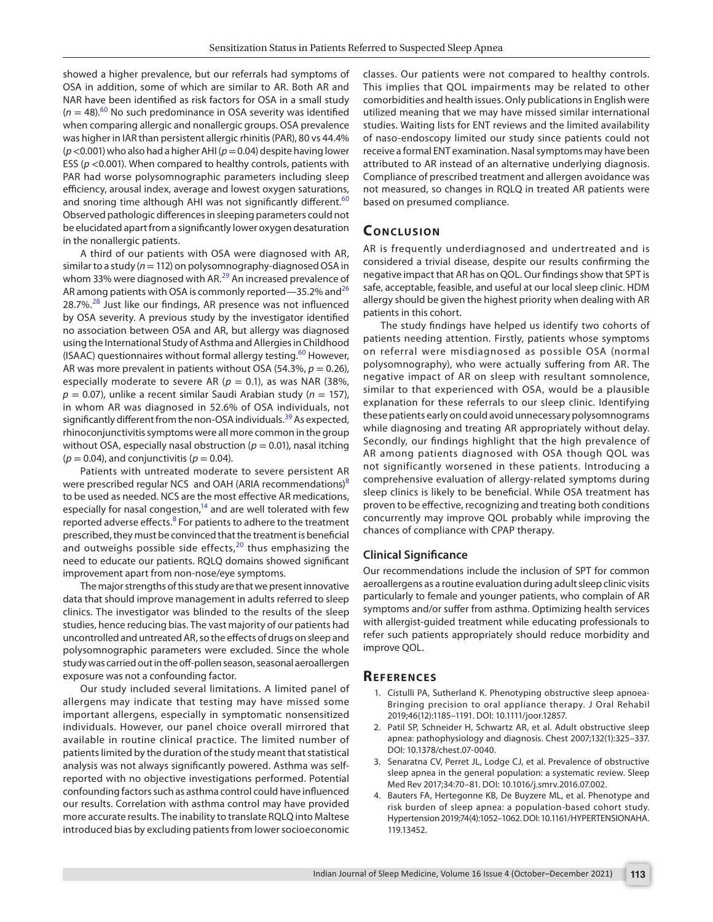showed a higher prevalence, but our referrals had symptoms of OSA in addition, some of which are similar to AR. Both AR and NAR have been identified as risk factors for OSA in a small study  $(n = 48)$ <sup>60</sup> No such predominance in OSA severity was identified when comparing allergic and nonallergic groups. OSA prevalence was higher in IAR than persistent allergic rhinitis (PAR), 80 vs 44.4% (*p* <0.001) who also had a higher AHI (*p*= 0.04) despite having lower ESS (*p* <0.001). When compared to healthy controls, patients with PAR had worse polysomnographic parameters including sleep efficiency, arousal index, average and lowest oxygen saturations, and snoring time although AHI was not significantly different.<sup>[60](#page-7-17)</sup> Observed pathologic differences in sleeping parameters could not be elucidated apart from a significantly lower oxygen desaturation in the nonallergic patients.

A third of our patients with OSA were diagnosed with AR, similar to a study (*n*= 112) on polysomnography-diagnosed OSA in whom 33% were diagnosed with AR.<sup>[29](#page-6-15)</sup> An increased prevalence of AR among patients with OSA is commonly reported—35.2% and  $26$ 28.7%.<sup>28</sup> Just like our findings, AR presence was not influenced by OSA severity. A previous study by the investigator identified no association between OSA and AR, but allergy was diagnosed using the International Study of Asthma and Allergies in Childhood (ISAAC) questionnaires without formal allergy testing.<sup>60</sup> However, AR was more prevalent in patients without OSA (54.3%,  $p = 0.26$ ), especially moderate to severe AR ( $p = 0.1$ ), as was NAR (38%, *p* = 0.07), unlike a recent similar Saudi Arabian study (*n* = 157), in whom AR was diagnosed in 52.6% of OSA individuals, not significantly different from the non-OSA individuals.<sup>[39](#page-6-25)</sup> As expected, rhinoconjunctivitis symptoms were all more common in the group without OSA, especially nasal obstruction ( $p = 0.01$ ), nasal itching  $(p = 0.04)$ , and conjunctivitis  $(p = 0.04)$ .

Patients with untreated moderate to severe persistent AR were prescribed regular NCS and OAH (ARIA recommendations) $8$ to be used as needed. NCS are the most effective AR medications, especially for nasal congestion,<sup>14</sup> and are well tolerated with few reported adverse effects.<sup>[8](#page-6-3)</sup> For patients to adhere to the treatment prescribed, they must be convinced that the treatment is beneficial and outweighs possible side effects, $20$  thus emphasizing the need to educate our patients. RQLQ domains showed significant improvement apart from non-nose/eye symptoms.

The major strengths of this study are that we present innovative data that should improve management in adults referred to sleep clinics. The investigator was blinded to the results of the sleep studies, hence reducing bias. The vast majority of our patients had uncontrolled and untreated AR, so the effects of drugs on sleep and polysomnographic parameters were excluded. Since the whole study was carried out in the off-pollen season, seasonal aeroallergen exposure was not a confounding factor.

Our study included several limitations. A limited panel of allergens may indicate that testing may have missed some important allergens, especially in symptomatic nonsensitized individuals. However, our panel choice overall mirrored that available in routine clinical practice. The limited number of patients limited by the duration of the study meant that statistical analysis was not always significantly powered. Asthma was selfreported with no objective investigations performed. Potential confounding factors such as asthma control could have influenced our results. Correlation with asthma control may have provided more accurate results. The inability to translate RQLQ into Maltese introduced bias by excluding patients from lower socioeconomic

classes. Our patients were not compared to healthy controls. This implies that QOL impairments may be related to other comorbidities and health issues. Only publications in English were utilized meaning that we may have missed similar international studies. Waiting lists for ENT reviews and the limited availability of naso-endoscopy limited our study since patients could not receive a formal ENT examination. Nasal symptoms may have been attributed to AR instead of an alternative underlying diagnosis. Compliance of prescribed treatment and allergen avoidance was not measured, so changes in RQLQ in treated AR patients were based on presumed compliance.

## **CONCLUSION**

AR is frequently underdiagnosed and undertreated and is considered a trivial disease, despite our results confirming the negative impact that AR has on QOL. Our findings show that SPT is safe, acceptable, feasible, and useful at our local sleep clinic. HDM allergy should be given the highest priority when dealing with AR patients in this cohort.

The study findings have helped us identify two cohorts of patients needing attention. Firstly, patients whose symptoms on referral were misdiagnosed as possible OSA (normal polysomnography), who were actually suffering from AR. The negative impact of AR on sleep with resultant somnolence, similar to that experienced with OSA, would be a plausible explanation for these referrals to our sleep clinic. Identifying these patients early on could avoid unnecessary polysomnograms while diagnosing and treating AR appropriately without delay. Secondly, our findings highlight that the high prevalence of AR among patients diagnosed with OSA though QOL was not significantly worsened in these patients. Introducing a comprehensive evaluation of allergy-related symptoms during sleep clinics is likely to be beneficial. While OSA treatment has proven to be effective, recognizing and treating both conditions concurrently may improve QOL probably while improving the chances of compliance with CPAP therapy.

#### **Clinical Significance**

Our recommendations include the inclusion of SPT for common aeroallergens as a routine evaluation during adult sleep clinic visits particularly to female and younger patients, who complain of AR symptoms and/or suffer from asthma. Optimizing health services with allergist-guided treatment while educating professionals to refer such patients appropriately should reduce morbidity and improve QOL.

#### **REFERENCES**

- <span id="page-5-0"></span>1. Cistulli PA, Sutherland K. Phenotyping obstructive sleep apnoea-Bringing precision to oral appliance therapy. J Oral Rehabil 2019;46(12):1185–1191. DOI: 10.1111/joor.12857.
- 2. Patil SP, Schneider H, Schwartz AR, et al. Adult obstructive sleep apnea: pathophysiology and diagnosis. Chest 2007;132(1):325–337. DOI: 10.1378/chest.07-0040.
- <span id="page-5-1"></span>3. Senaratna CV, Perret JL, Lodge CJ, et al. Prevalence of obstructive sleep apnea in the general population: a systematic review. Sleep Med Rev 2017;34:70–81. DOI: 10.1016/j.smrv.2016.07.002.
- 4. Bauters FA, Hertegonne KB, De Buyzere ML, et al. Phenotype and risk burden of sleep apnea: a population-based cohort study. Hypertension 2019;74(4):1052–1062. DOI: 10.1161/HYPERTENSIONAHA. 119.13452.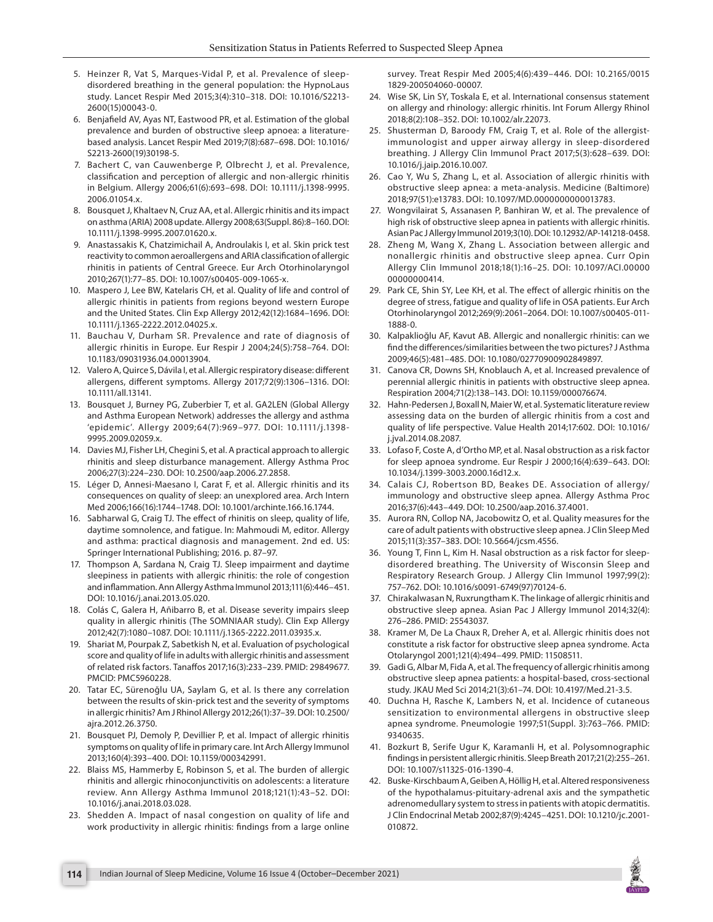- <span id="page-6-0"></span>5. Heinzer R, Vat S, Marques-Vidal P, et al. Prevalence of sleepdisordered breathing in the general population: the HypnoLaus study. Lancet Respir Med 2015;3(4):310–318. DOI: 10.1016/S2213- 2600(15)00043-0.
- <span id="page-6-1"></span>6. Benjafield AV, Ayas NT, Eastwood PR, et al. Estimation of the global prevalence and burden of obstructive sleep apnoea: a literaturebased analysis. Lancet Respir Med 2019;7(8):687–698. DOI: 10.1016/ S2213-2600(19)30198-5.
- <span id="page-6-2"></span>7. Bachert C, van Cauwenberge P, Olbrecht J, et al. Prevalence, classification and perception of allergic and non-allergic rhinitis in Belgium. Allergy 2006;61(6):693–698. DOI: 10.1111/j.1398-9995. 2006.01054.x.
- <span id="page-6-3"></span>8. Bousquet J, Khaltaev N, Cruz AA, et al. Allergic rhinitis and its impact on asthma (ARIA) 2008 update. Allergy 2008;63(Suppl. 86):8–160. DOI: 10.1111/j.1398-9995.2007.01620.x.
- <span id="page-6-4"></span>9. Anastassakis K, Chatzimichail A, Androulakis I, et al. Skin prick test reactivity to common aeroallergens and ARIA classification of allergic rhinitis in patients of Central Greece. Eur Arch Otorhinolaryngol 2010;267(1):77–85. DOI: 10.1007/s00405-009-1065-x.
- 10. Maspero J, Lee BW, Katelaris CH, et al. Quality of life and control of allergic rhinitis in patients from regions beyond western Europe and the United States. Clin Exp Allergy 2012;42(12):1684–1696. DOI: 10.1111/j.1365-2222.2012.04025.x.
- <span id="page-6-6"></span>11. Bauchau V, Durham SR. Prevalence and rate of diagnosis of allergic rhinitis in Europe. Eur Respir J 2004;24(5):758–764. DOI: 10.1183/09031936.04.00013904.
- <span id="page-6-5"></span>12. Valero A, Quirce S, Dávila I, et al. Allergic respiratory disease: different allergens, different symptoms. Allergy 2017;72(9):1306–1316. DOI: 10.1111/all.13141.
- <span id="page-6-7"></span>13. Bousquet J, Burney PG, Zuberbier T, et al. GA2LEN (Global Allergy and Asthma European Network) addresses the allergy and asthma 'epidemic'. Allergy 2009;64(7):969–977. DOI: 10.1111/j.1398- 9995.2009.02059.x.
- <span id="page-6-10"></span>14. Davies MJ, Fisher LH, Chegini S, et al. A practical approach to allergic rhinitis and sleep disturbance management. Allergy Asthma Proc 2006;27(3):224–230. DOI: 10.2500/aap.2006.27.2858.
- <span id="page-6-16"></span>15. Léger D, Annesi-Maesano I, Carat F, et al. Allergic rhinitis and its consequences on quality of sleep: an unexplored area. Arch Intern Med 2006;166(16):1744–1748. DOI: 10.1001/archinte.166.16.1744.
- 16. Sabharwal G, Craig TJ. The effect of rhinitis on sleep, quality of life, daytime somnolence, and fatigue. In: Mahmoudi M, editor. Allergy and asthma: practical diagnosis and management. 2nd ed. US: Springer International Publishing; 2016. p. 87–97.
- 17. Thompson A, Sardana N, Craig TJ. Sleep impairment and daytime sleepiness in patients with allergic rhinitis: the role of congestion and inflammation. Ann Allergy Asthma Immunol 2013;111(6):446–451. DOI: 10.1016/j.anai.2013.05.020.
- 18. Colás C, Galera H, Añibarro B, et al. Disease severity impairs sleep quality in allergic rhinitis (The SOMNIAAR study). Clin Exp Allergy 2012;42(7):1080–1087. DOI: 10.1111/j.1365-2222.2011.03935.x.
- 19. Shariat M, Pourpak Z, Sabetkish N, et al. Evaluation of psychological score and quality of life in adults with allergic rhinitis and assessment of related risk factors. Tanaffos 2017;16(3):233–239. PMID: 29849677. PMCID: PMC5960228.
- <span id="page-6-30"></span>20. Tatar EC, Sürenoğlu UA, Saylam G, et al. Is there any correlation between the results of skin-prick test and the severity of symptoms in allergic rhinitis? Am J Rhinol Allergy 2012;26(1):37–39. DOI: 10.2500/ ajra.2012.26.3750.
- 21. Bousquet PJ, Demoly P, Devillier P, et al. Impact of allergic rhinitis symptoms on quality of life in primary care. Int Arch Allergy Immunol 2013;160(4):393–400. DOI: 10.1159/000342991.
- <span id="page-6-8"></span>22. Blaiss MS, Hammerby E, Robinson S, et al. The burden of allergic rhinitis and allergic rhinoconjunctivitis on adolescents: a literature review. Ann Allergy Asthma Immunol 2018;121(1):43–52. DOI: 10.1016/j.anai.2018.03.028.
- <span id="page-6-9"></span>23. Shedden A. Impact of nasal congestion on quality of life and work productivity in allergic rhinitis: findings from a large online

survey. Treat Respir Med 2005;4(6):439–446. DOI: 10.2165/0015 1829-200504060-00007.

- <span id="page-6-11"></span>24. Wise SK, Lin SY, Toskala E, et al. International consensus statement on allergy and rhinology: allergic rhinitis. Int Forum Allergy Rhinol 2018;8(2):108–352. DOI: 10.1002/alr.22073.
- <span id="page-6-12"></span>25. Shusterman D, Baroody FM, Craig T, et al. Role of the allergistimmunologist and upper airway allergy in sleep-disordered breathing. J Allergy Clin Immunol Pract 2017;5(3):628–639. DOI: 10.1016/j.jaip.2016.10.007.
- <span id="page-6-29"></span>26. Cao Y, Wu S, Zhang L, et al. Association of allergic rhinitis with obstructive sleep apnea: a meta-analysis. Medicine (Baltimore) 2018;97(51):e13783. DOI: 10.1097/MD.0000000000013783.
- <span id="page-6-13"></span>27. Wongvilairat S, Assanasen P, Banhiran W, et al. The prevalence of high risk of obstructive sleep apnea in patients with allergic rhinitis. Asian Pac J Allergy Immunol 2019;3(10). DOI: 10.12932/AP-141218-0458.
- <span id="page-6-14"></span>28. Zheng M, Wang X, Zhang L. Association between allergic and nonallergic rhinitis and obstructive sleep apnea. Curr Opin Allergy Clin Immunol 2018;18(1):16–25. DOI: 10.1097/ACI.00000 00000000414.
- <span id="page-6-15"></span>29. Park CE, Shin SY, Lee KH, et al. The effect of allergic rhinitis on the degree of stress, fatigue and quality of life in OSA patients. Eur Arch Otorhinolaryngol 2012;269(9):2061–2064. DOI: 10.1007/s00405-011- 1888-0.
- <span id="page-6-17"></span>30. Kalpaklioğlu AF, Kavut AB. Allergic and nonallergic rhinitis: can we find the differences/similarities between the two pictures? J Asthma 2009;46(5):481–485. DOI: 10.1080/02770900902849897.
- <span id="page-6-18"></span>31. Canova CR, Downs SH, Knoblauch A, et al. Increased prevalence of perennial allergic rhinitis in patients with obstructive sleep apnea. Respiration 2004;71(2):138–143. DOI: 10.1159/000076674.
- <span id="page-6-19"></span>32. Hahn-Pedersen J, Boxall N, Maier W, et al. Systematic literature review assessing data on the burden of allergic rhinitis from a cost and quality of life perspective. Value Health 2014;17:602. DOI: 10.1016/ j.jval.2014.08.2087.
- <span id="page-6-20"></span>33. Lofaso F, Coste A, d'Ortho MP, et al. Nasal obstruction as a risk factor for sleep apnoea syndrome. Eur Respir J 2000;16(4):639–643. DOI: 10.1034/j.1399-3003.2000.16d12.x.
- <span id="page-6-21"></span>34. Calais CJ, Robertson BD, Beakes DE. Association of allergy/ immunology and obstructive sleep apnea. Allergy Asthma Proc 2016;37(6):443–449. DOI: 10.2500/aap.2016.37.4001.
- <span id="page-6-22"></span>35. Aurora RN, Collop NA, Jacobowitz O, et al. Quality measures for the care of adult patients with obstructive sleep apnea. J Clin Sleep Med 2015;11(3):357–383. DOI: 10.5664/jcsm.4556.
- <span id="page-6-23"></span>36. Young T, Finn L, Kim H. Nasal obstruction as a risk factor for sleepdisordered breathing. The University of Wisconsin Sleep and Respiratory Research Group. J Allergy Clin Immunol 1997;99(2): 757–762. DOI: 10.1016/s0091-6749(97)70124-6.
- <span id="page-6-24"></span>37. Chirakalwasan N, Ruxrungtham K. The linkage of allergic rhinitis and obstructive sleep apnea. Asian Pac J Allergy Immunol 2014;32(4): 276–286. PMID: 25543037.
- 38. Kramer M, De La Chaux R, Dreher A, et al. Allergic rhinitis does not constitute a risk factor for obstructive sleep apnea syndrome. Acta Otolaryngol 2001;121(4):494–499. PMID: 11508511.
- <span id="page-6-25"></span>39. Gadi G, Albar M, Fida A, et al. The frequency of allergic rhinitis among obstructive sleep apnea patients: a hospital-based, cross-sectional study. JKAU Med Sci 2014;21(3):61–74. DOI: 10.4197/Med.21-3.5.
- <span id="page-6-26"></span>40. Duchna H, Rasche K, Lambers N, et al. Incidence of cutaneous sensitization to environmental allergens in obstructive sleep apnea syndrome. Pneumologie 1997;51(Suppl. 3):763–766. PMID: 9340635.
- <span id="page-6-27"></span>41. Bozkurt B, Serife Ugur K, Karamanli H, et al. Polysomnographic findings in persistent allergic rhinitis. Sleep Breath 2017;21(2):255–261. DOI: 10.1007/s11325-016-1390-4.
- <span id="page-6-28"></span>42. Buske-Kirschbaum A, Geiben A, Höllig H, et al. Altered responsiveness of the hypothalamus-pituitary-adrenal axis and the sympathetic adrenomedullary system to stress in patients with atopic dermatitis. J Clin Endocrinal Metab 2002;87(9):4245–4251. DOI: 10.1210/jc.2001- 010872.